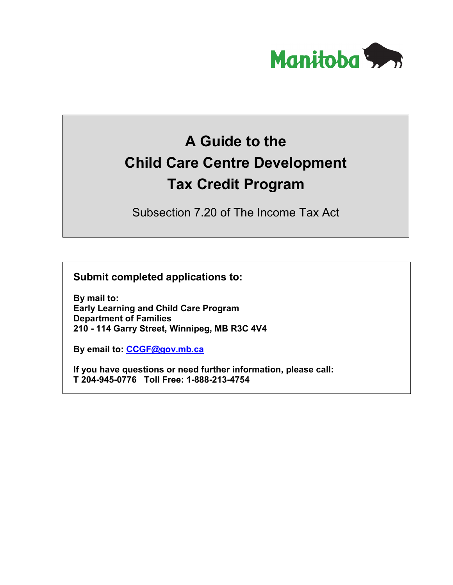

# **A Guide to the Child Care Centre Development Tax Credit Program**

Subsection 7.20 of The Income Tax Act

**Submit completed applications to:**

**By mail to: Early Learning and Child Care Program Department of Families 210 - 114 Garry Street, Winnipeg, MB R3C 4V4**

**By email to: [CCGF@gov.mb.ca](mailto:CCGF@gov.mb.ca)**

**If you have questions or need further information, please call: T 204-945-0776 Toll Free: 1-888-213-4754**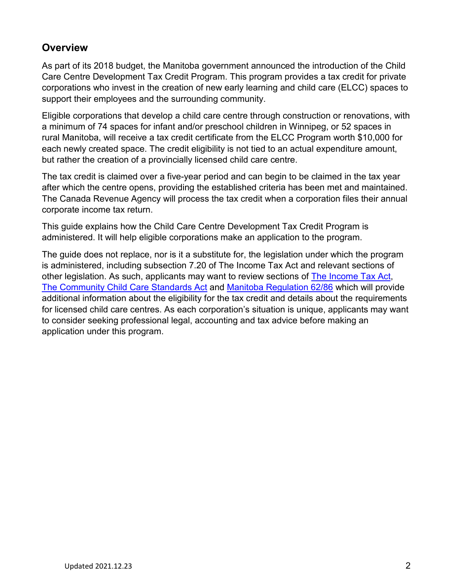## **Overview**

As part of its 2018 budget, the Manitoba government announced the introduction of the Child Care Centre Development Tax Credit Program. This program provides a tax credit for private corporations who invest in the creation of new early learning and child care (ELCC) spaces to support their employees and the surrounding community.

Eligible corporations that develop a child care centre through construction or renovations, with a minimum of 74 spaces for infant and/or preschool children in Winnipeg, or 52 spaces in rural Manitoba, will receive a tax credit certificate from the ELCC Program worth \$10,000 for each newly created space. The credit eligibility is not tied to an actual expenditure amount, but rather the creation of a provincially licensed child care centre.

The tax credit is claimed over a five-year period and can begin to be claimed in the tax year after which the centre opens, providing the established criteria has been met and maintained. The Canada Revenue Agency will process the tax credit when a corporation files their annual corporate income tax return.

This guide explains how the Child Care Centre Development Tax Credit Program is administered. It will help eligible corporations make an application to the program.

The guide does not replace, nor is it a substitute for, the legislation under which the program is administered, including subsection 7.20 of The Income Tax Act and relevant sections of other legislation. As such, applicants may want to review sections of [The Income Tax Act,](http://web2.gov.mb.ca/laws/statutes/ccsm/i010e.php) [The Community Child Care Standards Act](http://web2.gov.mb.ca/laws/statutes/ccsm/c158e.php) and [Manitoba Regulation 62/86](https://web2.gov.mb.ca/laws/regs/current/_pdf-regs.php?reg=62/86) which will provide additional information about the eligibility for the tax credit and details about the requirements for licensed child care centres. As each corporation's situation is unique, applicants may want to consider seeking professional legal, accounting and tax advice before making an application under this program.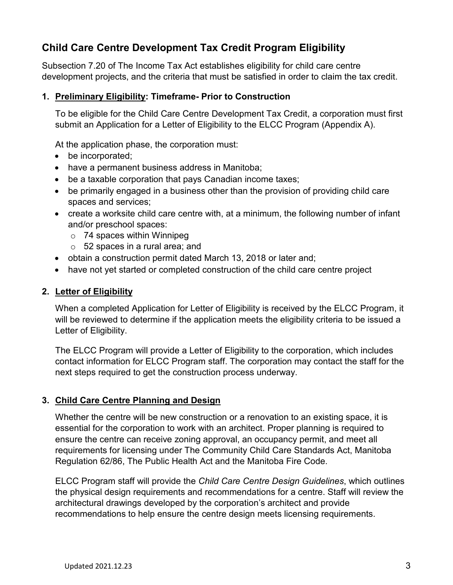## **Child Care Centre Development Tax Credit Program Eligibility**

Subsection 7.20 of The Income Tax Act establishes eligibility for child care centre development projects, and the criteria that must be satisfied in order to claim the tax credit.

## **1. Preliminary Eligibility: Timeframe- Prior to Construction**

To be eligible for the Child Care Centre Development Tax Credit, a corporation must first submit an Application for a Letter of Eligibility to the ELCC Program (Appendix A).

At the application phase, the corporation must:

- be incorporated;
- have a permanent business address in Manitoba;
- be a taxable corporation that pays Canadian income taxes;
- be primarily engaged in a business other than the provision of providing child care spaces and services;
- create a worksite child care centre with, at a minimum, the following number of infant and/or preschool spaces:
	- o 74 spaces within Winnipeg
	- $\circ$  52 spaces in a rural area; and
- obtain a construction permit dated March 13, 2018 or later and;
- have not yet started or completed construction of the child care centre project

## **2. Letter of Eligibility**

When a completed Application for Letter of Eligibility is received by the ELCC Program, it will be reviewed to determine if the application meets the eligibility criteria to be issued a Letter of Eligibility.

The ELCC Program will provide a Letter of Eligibility to the corporation, which includes contact information for ELCC Program staff. The corporation may contact the staff for the next steps required to get the construction process underway.

## **3. Child Care Centre Planning and Design**

Whether the centre will be new construction or a renovation to an existing space, it is essential for the corporation to work with an architect. Proper planning is required to ensure the centre can receive zoning approval, an occupancy permit, and meet all requirements for licensing under The Community Child Care Standards Act, Manitoba Regulation 62/86, The Public Health Act and the Manitoba Fire Code.

ELCC Program staff will provide the *Child Care Centre Design Guidelines*, which outlines the physical design requirements and recommendations for a centre. Staff will review the architectural drawings developed by the corporation's architect and provide recommendations to help ensure the centre design meets licensing requirements.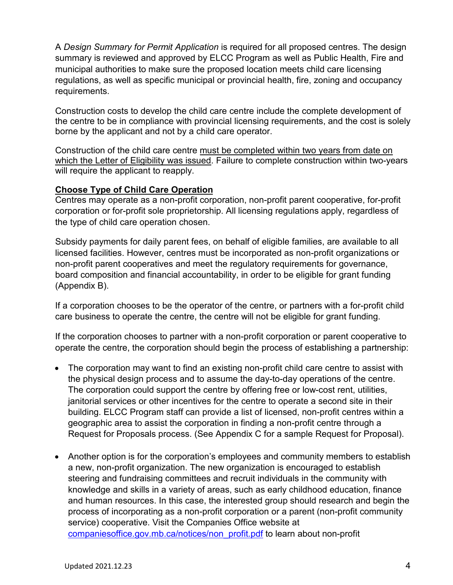A *Design Summary for Permit Application* is required for all proposed centres. The design summary is reviewed and approved by ELCC Program as well as Public Health, Fire and municipal authorities to make sure the proposed location meets child care licensing regulations, as well as specific municipal or provincial health, fire, zoning and occupancy requirements.

Construction costs to develop the child care centre include the complete development of the centre to be in compliance with provincial licensing requirements, and the cost is solely borne by the applicant and not by a child care operator.

Construction of the child care centre must be completed within two years from date on which the Letter of Eligibility was issued. Failure to complete construction within two-years will require the applicant to reapply.

### **Choose Type of Child Care Operation**

Centres may operate as a non-profit corporation, non-profit parent cooperative, for-profit corporation or for-profit sole proprietorship. All licensing regulations apply, regardless of the type of child care operation chosen.

Subsidy payments for daily parent fees, on behalf of eligible families, are available to all licensed facilities. However, centres must be incorporated as non-profit organizations or non-profit parent cooperatives and meet the regulatory requirements for governance, board composition and financial accountability, in order to be eligible for grant funding (Appendix B).

If a corporation chooses to be the operator of the centre, or partners with a for-profit child care business to operate the centre, the centre will not be eligible for grant funding.

If the corporation chooses to partner with a non-profit corporation or parent cooperative to operate the centre, the corporation should begin the process of establishing a partnership:

- The corporation may want to find an existing non-profit child care centre to assist with the physical design process and to assume the day-to-day operations of the centre. The corporation could support the centre by offering free or low-cost rent, utilities, janitorial services or other incentives for the centre to operate a second site in their building. ELCC Program staff can provide a list of licensed, non-profit centres within a geographic area to assist the corporation in finding a non-profit centre through a Request for Proposals process. (See Appendix C for a sample Request for Proposal).
- Another option is for the corporation's employees and community members to establish a new, non-profit organization. The new organization is encouraged to establish steering and fundraising committees and recruit individuals in the community with knowledge and skills in a variety of areas, such as early childhood education, finance and human resources. In this case, the interested group should research and begin the process of incorporating as a non-profit corporation or a parent (non-profit community service) cooperative. Visit the Companies Office website at [companiesoffice.gov.mb.ca/notices/non\\_profit.pdf](http://www.companiesoffice.gov.mb.ca/notices/non_profit.pdf) to learn about non-profit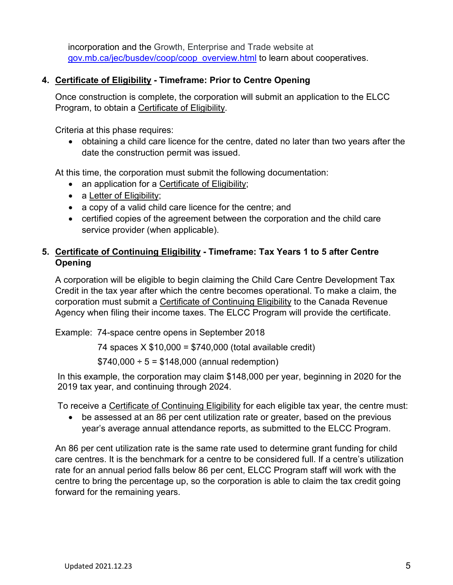incorporation and the Growth, Enterprise and Trade website at [gov.mb.ca/jec/busdev/coop/coop\\_overview.html](https://www.gov.mb.ca/jec/busdev/coop/coop_overview.html) to learn about cooperatives.

## **4. Certificate of Eligibility - Timeframe: Prior to Centre Opening**

Once construction is complete, the corporation will submit an application to the ELCC Program, to obtain a Certificate of Eligibility.

Criteria at this phase requires:

• obtaining a child care licence for the centre, dated no later than two years after the date the construction permit was issued.

At this time, the corporation must submit the following documentation:

- an application for a Certificate of Eligibility;
- a Letter of Eligibility;
- a copy of a valid child care licence for the centre; and
- certified copies of the agreement between the corporation and the child care service provider (when applicable).

## **5. Certificate of Continuing Eligibility - Timeframe: Tax Years 1 to 5 after Centre Opening**

A corporation will be eligible to begin claiming the Child Care Centre Development Tax Credit in the tax year after which the centre becomes operational. To make a claim, the corporation must submit a Certificate of Continuing Eligibility to the Canada Revenue Agency when filing their income taxes. The ELCC Program will provide the certificate.

Example: 74-space centre opens in September 2018

74 spaces X \$10,000 = \$740,000 (total available credit)

 $$740,000 \div 5 = $148,000$  (annual redemption)

In this example, the corporation may claim \$148,000 per year, beginning in 2020 for the 2019 tax year, and continuing through 2024.

To receive a Certificate of Continuing Eligibility for each eligible tax year, the centre must:

• be assessed at an 86 per cent utilization rate or greater, based on the previous year's average annual attendance reports, as submitted to the ELCC Program.

An 86 per cent utilization rate is the same rate used to determine grant funding for child care centres. It is the benchmark for a centre to be considered full. If a centre's utilization rate for an annual period falls below 86 per cent, ELCC Program staff will work with the centre to bring the percentage up, so the corporation is able to claim the tax credit going forward for the remaining years.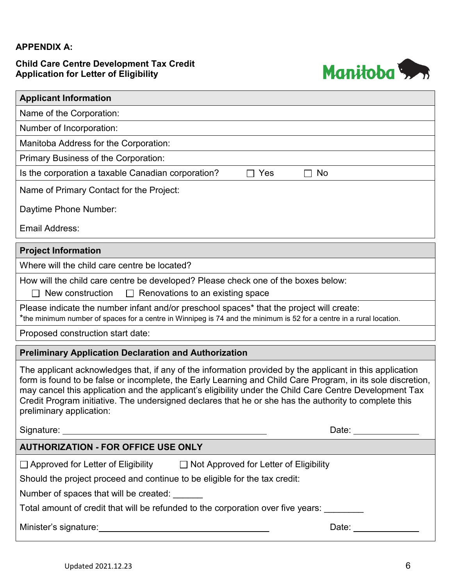## **APPENDIX A:**

## **Child Care Centre Development Tax Credit Application for Letter of Eligibility**



| <b>Applicant Information</b>                                                                                                                                                                                                                                                                                                                                                                                                                                            |  |  |  |  |
|-------------------------------------------------------------------------------------------------------------------------------------------------------------------------------------------------------------------------------------------------------------------------------------------------------------------------------------------------------------------------------------------------------------------------------------------------------------------------|--|--|--|--|
| Name of the Corporation:                                                                                                                                                                                                                                                                                                                                                                                                                                                |  |  |  |  |
| Number of Incorporation:                                                                                                                                                                                                                                                                                                                                                                                                                                                |  |  |  |  |
| Manitoba Address for the Corporation:                                                                                                                                                                                                                                                                                                                                                                                                                                   |  |  |  |  |
| Primary Business of the Corporation:                                                                                                                                                                                                                                                                                                                                                                                                                                    |  |  |  |  |
| Is the corporation a taxable Canadian corporation?<br>Yes<br>No                                                                                                                                                                                                                                                                                                                                                                                                         |  |  |  |  |
| Name of Primary Contact for the Project:                                                                                                                                                                                                                                                                                                                                                                                                                                |  |  |  |  |
| Daytime Phone Number:                                                                                                                                                                                                                                                                                                                                                                                                                                                   |  |  |  |  |
| <b>Email Address:</b>                                                                                                                                                                                                                                                                                                                                                                                                                                                   |  |  |  |  |
| <b>Project Information</b>                                                                                                                                                                                                                                                                                                                                                                                                                                              |  |  |  |  |
| Where will the child care centre be located?                                                                                                                                                                                                                                                                                                                                                                                                                            |  |  |  |  |
| How will the child care centre be developed? Please check one of the boxes below:                                                                                                                                                                                                                                                                                                                                                                                       |  |  |  |  |
| New construction<br>Renovations to an existing space<br>$\mathbf{I}$                                                                                                                                                                                                                                                                                                                                                                                                    |  |  |  |  |
| Please indicate the number infant and/or preschool spaces* that the project will create:<br>*the minimum number of spaces for a centre in Winnipeg is 74 and the minimum is 52 for a centre in a rural location.                                                                                                                                                                                                                                                        |  |  |  |  |
| Proposed construction start date:                                                                                                                                                                                                                                                                                                                                                                                                                                       |  |  |  |  |
| <b>Preliminary Application Declaration and Authorization</b>                                                                                                                                                                                                                                                                                                                                                                                                            |  |  |  |  |
| The applicant acknowledges that, if any of the information provided by the applicant in this application<br>form is found to be false or incomplete, the Early Learning and Child Care Program, in its sole discretion,<br>may cancel this application and the applicant's eligibility under the Child Care Centre Development Tax<br>Credit Program initiative. The undersigned declares that he or she has the authority to complete this<br>preliminary application: |  |  |  |  |
| Date: $\frac{1}{\sqrt{1-\frac{1}{2}}\cdot\frac{1}{2}}$                                                                                                                                                                                                                                                                                                                                                                                                                  |  |  |  |  |
| <b>AUTHORIZATION - FOR OFFICE USE ONLY</b>                                                                                                                                                                                                                                                                                                                                                                                                                              |  |  |  |  |
| □ Approved for Letter of Eligibility □ Not Approved for Letter of Eligibility                                                                                                                                                                                                                                                                                                                                                                                           |  |  |  |  |
| Should the project proceed and continue to be eligible for the tax credit:                                                                                                                                                                                                                                                                                                                                                                                              |  |  |  |  |
| Number of spaces that will be created:                                                                                                                                                                                                                                                                                                                                                                                                                                  |  |  |  |  |
| Total amount of credit that will be refunded to the corporation over five years:                                                                                                                                                                                                                                                                                                                                                                                        |  |  |  |  |
| Date: ______________                                                                                                                                                                                                                                                                                                                                                                                                                                                    |  |  |  |  |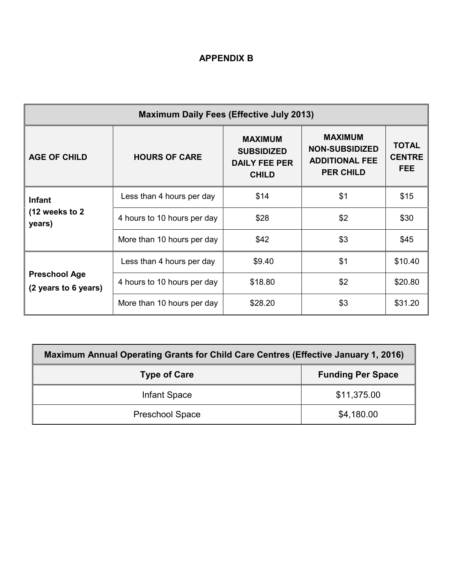## **APPENDIX B**

| <b>Maximum Daily Fees (Effective July 2013)</b> |                             |                                                                             |                                                                                      |                                             |  |  |  |  |
|-------------------------------------------------|-----------------------------|-----------------------------------------------------------------------------|--------------------------------------------------------------------------------------|---------------------------------------------|--|--|--|--|
| <b>AGE OF CHILD</b>                             | <b>HOURS OF CARE</b>        | <b>MAXIMUM</b><br><b>SUBSIDIZED</b><br><b>DAILY FEE PER</b><br><b>CHILD</b> | <b>MAXIMUM</b><br><b>NON-SUBSIDIZED</b><br><b>ADDITIONAL FEE</b><br><b>PER CHILD</b> | <b>TOTAL</b><br><b>CENTRE</b><br><b>FEE</b> |  |  |  |  |
| <b>Infant</b>                                   | Less than 4 hours per day   | \$14<br>\$1                                                                 |                                                                                      | \$15                                        |  |  |  |  |
| (12 weeks to 2)<br>years)                       | 4 hours to 10 hours per day | \$2<br>\$28                                                                 |                                                                                      | \$30                                        |  |  |  |  |
|                                                 | More than 10 hours per day  | \$42                                                                        | \$3                                                                                  | \$45                                        |  |  |  |  |
|                                                 | Less than 4 hours per day   | \$9.40                                                                      | \$1                                                                                  | \$10.40                                     |  |  |  |  |
| <b>Preschool Age</b><br>(2 years to 6 years)    | 4 hours to 10 hours per day | \$2<br>\$18.80                                                              |                                                                                      | \$20.80                                     |  |  |  |  |
|                                                 | More than 10 hours per day  | \$28.20                                                                     | \$3                                                                                  | \$31.20                                     |  |  |  |  |

| Maximum Annual Operating Grants for Child Care Centres (Effective January 1, 2016) |                          |  |  |  |
|------------------------------------------------------------------------------------|--------------------------|--|--|--|
| <b>Type of Care</b>                                                                | <b>Funding Per Space</b> |  |  |  |
| Infant Space                                                                       | \$11,375.00              |  |  |  |
| <b>Preschool Space</b>                                                             | \$4,180.00               |  |  |  |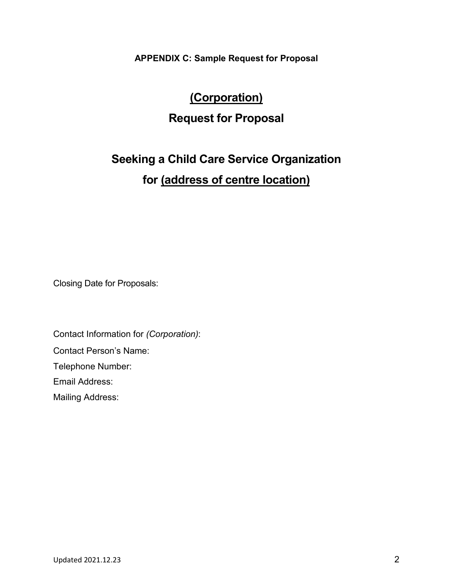**APPENDIX C: Sample Request for Proposal**

# **(Corporation) Request for Proposal**

# **Seeking a Child Care Service Organization for (address of centre location)**

Closing Date for Proposals:

Contact Information for *(Corporation)*:

Contact Person's Name:

Telephone Number:

Email Address:

Mailing Address: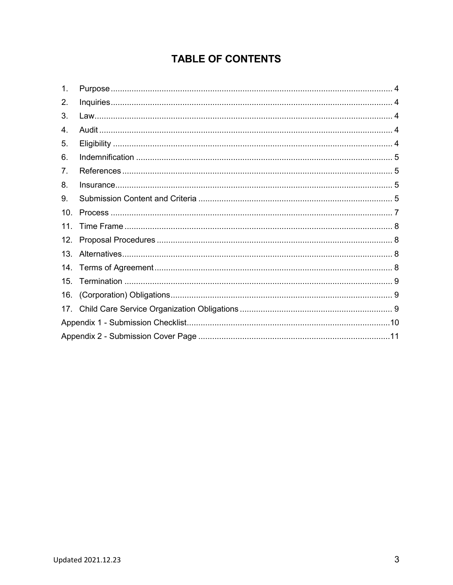# **TABLE OF CONTENTS**

| 1.  |  |  |  |  |
|-----|--|--|--|--|
| 2.  |  |  |  |  |
| 3.  |  |  |  |  |
| 4.  |  |  |  |  |
| 5.  |  |  |  |  |
| 6.  |  |  |  |  |
| 7.  |  |  |  |  |
| 8.  |  |  |  |  |
| 9.  |  |  |  |  |
| 10. |  |  |  |  |
| 11. |  |  |  |  |
| 12. |  |  |  |  |
| 13. |  |  |  |  |
| 14. |  |  |  |  |
| 15. |  |  |  |  |
| 16. |  |  |  |  |
|     |  |  |  |  |
|     |  |  |  |  |
|     |  |  |  |  |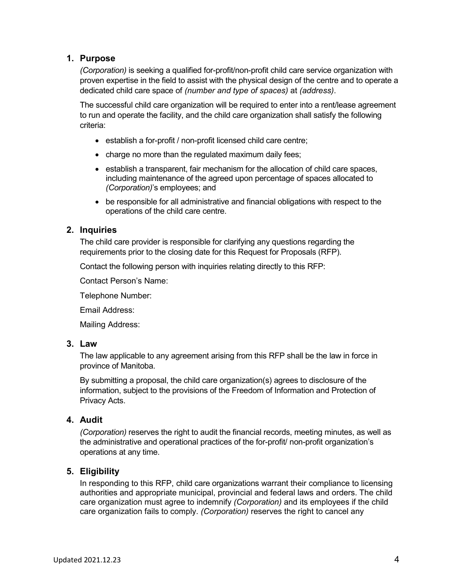### <span id="page-9-0"></span>**1. Purpose**

*(Corporation)* is seeking a qualified for-profit/non-profit child care service organization with proven expertise in the field to assist with the physical design of the centre and to operate a dedicated child care space of *(number and type of spaces)* at *(address)*.

The successful child care organization will be required to enter into a rent/lease agreement to run and operate the facility, and the child care organization shall satisfy the following criteria:

- establish a for-profit / non-profit licensed child care centre;
- charge no more than the regulated maximum daily fees;
- establish a transparent, fair mechanism for the allocation of child care spaces, including maintenance of the agreed upon percentage of spaces allocated to *(Corporation)*'s employees; and
- be responsible for all administrative and financial obligations with respect to the operations of the child care centre.

### <span id="page-9-1"></span>**2. Inquiries**

The child care provider is responsible for clarifying any questions regarding the requirements prior to the closing date for this Request for Proposals (RFP).

Contact the following person with inquiries relating directly to this RFP:

Contact Person's Name:

Telephone Number:

Email Address:

Mailing Address:

#### <span id="page-9-2"></span>**3. Law**

The law applicable to any agreement arising from this RFP shall be the law in force in province of Manitoba.

By submitting a proposal, the child care organization(s) agrees to disclosure of the information, subject to the provisions of the Freedom of Information and Protection of Privacy Acts.

### <span id="page-9-3"></span>**4. Audit**

*(Corporation)* reserves the right to audit the financial records, meeting minutes, as well as the administrative and operational practices of the for-profit/ non-profit organization's operations at any time.

### <span id="page-9-4"></span>**5. Eligibility**

In responding to this RFP, child care organizations warrant their compliance to licensing authorities and appropriate municipal, provincial and federal laws and orders. The child care organization must agree to indemnify *(Corporation)* and its employees if the child care organization fails to comply. *(Corporation)* reserves the right to cancel any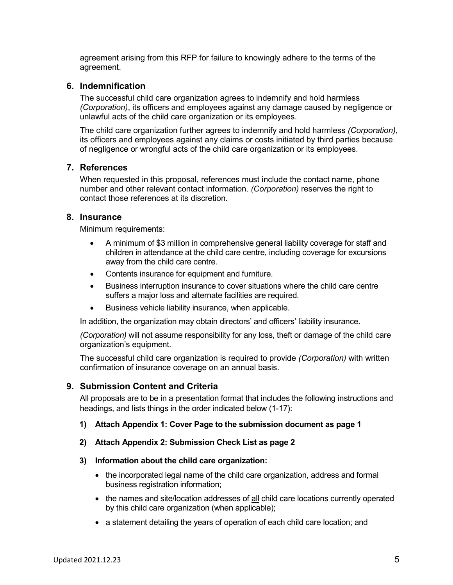agreement arising from this RFP for failure to knowingly adhere to the terms of the agreement.

#### <span id="page-10-0"></span>**6. Indemnification**

The successful child care organization agrees to indemnify and hold harmless *(Corporation)*, its officers and employees against any damage caused by negligence or unlawful acts of the child care organization or its employees.

The child care organization further agrees to indemnify and hold harmless *(Corporation)*, its officers and employees against any claims or costs initiated by third parties because of negligence or wrongful acts of the child care organization or its employees.

#### <span id="page-10-1"></span>**7. References**

When requested in this proposal, references must include the contact name, phone number and other relevant contact information. *(Corporation)* reserves the right to contact those references at its discretion.

#### <span id="page-10-2"></span>**8. Insurance**

Minimum requirements:

- A minimum of \$3 million in comprehensive general liability coverage for staff and children in attendance at the child care centre, including coverage for excursions away from the child care centre.
- Contents insurance for equipment and furniture.
- Business interruption insurance to cover situations where the child care centre suffers a major loss and alternate facilities are required.
- Business vehicle liability insurance, when applicable.

In addition, the organization may obtain directors' and officers' liability insurance.

*(Corporation)* will not assume responsibility for any loss, theft or damage of the child care organization's equipment.

The successful child care organization is required to provide *(Corporation)* with written confirmation of insurance coverage on an annual basis.

#### <span id="page-10-3"></span>**9. Submission Content and Criteria**

All proposals are to be in a presentation format that includes the following instructions and headings, and lists things in the order indicated below (1-17):

#### **1) Attach Appendix 1: Cover Page to the submission document as page 1**

#### **2) Attach Appendix 2: Submission Check List as page 2**

#### **3) Information about the child care organization:**

- the incorporated legal name of the child care organization, address and formal business registration information;
- the names and site/location addresses of all child care locations currently operated by this child care organization (when applicable);
- a statement detailing the years of operation of each child care location; and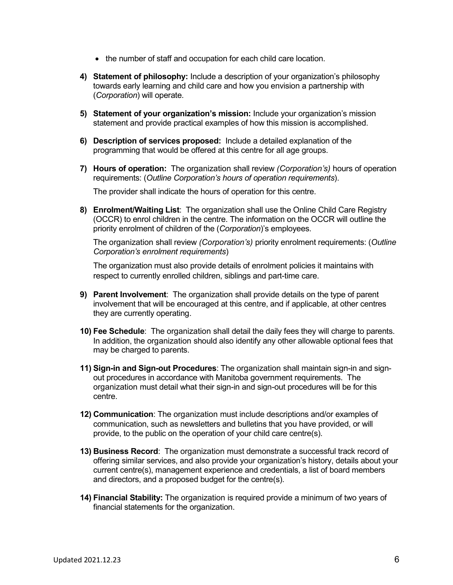- the number of staff and occupation for each child care location.
- **4) Statement of philosophy:** Include a description of your organization's philosophy towards early learning and child care and how you envision a partnership with (*Corporation*) will operate.
- **5) Statement of your organization's mission:** Include your organization's mission statement and provide practical examples of how this mission is accomplished.
- **6) Description of services proposed:** Include a detailed explanation of the programming that would be offered at this centre for all age groups.
- **7) Hours of operation:** The organization shall review *(Corporation's)* hours of operation requirements: (*Outline Corporation's hours of operation requirements*).

The provider shall indicate the hours of operation for this centre.

**8) Enrolment/Waiting List**: The organization shall use the Online Child Care Registry (OCCR) to enrol children in the centre. The information on the OCCR will outline the priority enrolment of children of the (*Corporation*)'s employees.

The organization shall review *(Corporation's)* priority enrolment requirements: (*Outline Corporation's enrolment requirements*)

The organization must also provide details of enrolment policies it maintains with respect to currently enrolled children, siblings and part-time care.

- **9) Parent Involvement**: The organization shall provide details on the type of parent involvement that will be encouraged at this centre, and if applicable, at other centres they are currently operating.
- **10) Fee Schedule**: The organization shall detail the daily fees they will charge to parents. In addition, the organization should also identify any other allowable optional fees that may be charged to parents.
- **11) Sign-in and Sign-out Procedures**: The organization shall maintain sign-in and signout procedures in accordance with Manitoba government requirements. The organization must detail what their sign-in and sign-out procedures will be for this centre.
- **12) Communication**: The organization must include descriptions and/or examples of communication, such as newsletters and bulletins that you have provided, or will provide, to the public on the operation of your child care centre(s).
- **13) Business Record**: The organization must demonstrate a successful track record of offering similar services, and also provide your organization's history, details about your current centre(s), management experience and credentials, a list of board members and directors, and a proposed budget for the centre(s).
- **14) Financial Stability:** The organization is required provide a minimum of two years of financial statements for the organization.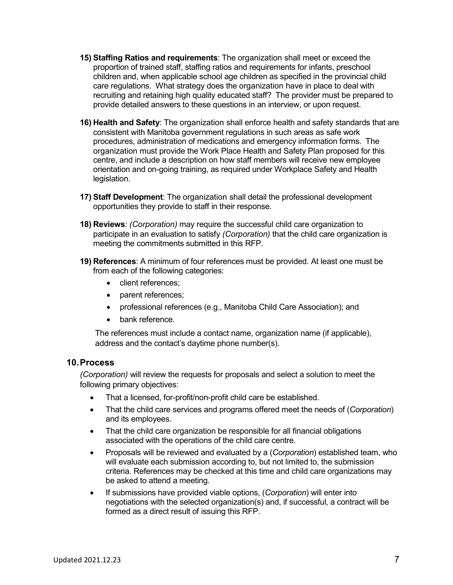- **15) Staffing Ratios and requirements**: The organization shall meet or exceed the proportion of trained staff, staffing ratios and requirements for infants, preschool children and, when applicable school age children as specified in the provincial child care regulations. What strategy does the organization have in place to deal with recruiting and retaining high quality educated staff? The provider must be prepared to provide detailed answers to these questions in an interview, or upon request.
- **16) Health and Safety**: The organization shall enforce health and safety standards that are consistent with Manitoba government regulations in such areas as safe work procedures, administration of medications and emergency information forms. The organization must provide the Work Place Health and Safety Plan proposed for this centre, and include a description on how staff members will receive new employee orientation and on-going training, as required under Workplace Safety and Health legislation.
- **17) Staff Development**: The organization shall detail the professional development opportunities they provide to staff in their response.
- **18) Reviews**: *(Corporation)* may require the successful child care organization to participate in an evaluation to satisfy *(Corporation)* that the child care organization is meeting the commitments submitted in this RFP.
- **19) References**: A minimum of four references must be provided. At least one must be from each of the following categories:
	- client references:
	- parent references;
	- professional references (e.g., Manitoba Child Care Association); and
	- bank reference.

The references must include a contact name, organization name (if applicable), address and the contact's daytime phone number(s).

#### <span id="page-12-0"></span>**10.Process**

*(Corporation)* will review the requests for proposals and select a solution to meet the following primary objectives:

- That a licensed, for-profit/non-profit child care be established.
- That the child care services and programs offered meet the needs of (*Corporation*) and its employees.
- That the child care organization be responsible for all financial obligations associated with the operations of the child care centre.
- Proposals will be reviewed and evaluated by a (*Corporation*) established team, who will evaluate each submission according to, but not limited to, the submission criteria. References may be checked at this time and child care organizations may be asked to attend a meeting.
- If submissions have provided viable options, (*Corporation*) will enter into negotiations with the selected organization(s) and, if successful, a contract will be formed as a direct result of issuing this RFP.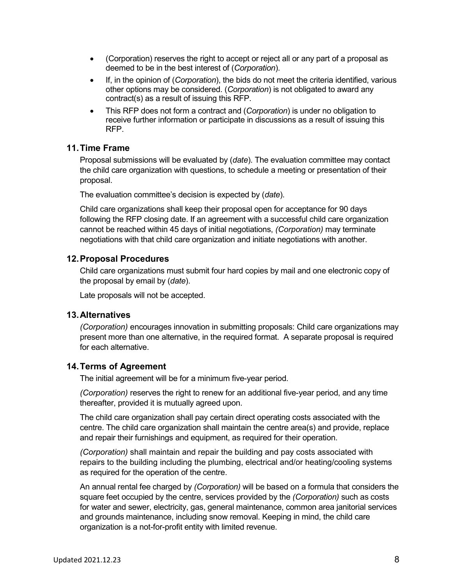- (Corporation) reserves the right to accept or reject all or any part of a proposal as deemed to be in the best interest of (*Corporation*).
- If, in the opinion of (*Corporation*), the bids do not meet the criteria identified, various other options may be considered. (*Corporation*) is not obligated to award any contract(s) as a result of issuing this RFP.
- This RFP does not form a contract and (*Corporation*) is under no obligation to receive further information or participate in discussions as a result of issuing this RFP.

#### <span id="page-13-0"></span>**11.Time Frame**

Proposal submissions will be evaluated by (*date*). The evaluation committee may contact the child care organization with questions, to schedule a meeting or presentation of their proposal.

The evaluation committee's decision is expected by (*date*).

Child care organizations shall keep their proposal open for acceptance for 90 days following the RFP closing date. If an agreement with a successful child care organization cannot be reached within 45 days of initial negotiations, *(Corporation)* may terminate negotiations with that child care organization and initiate negotiations with another.

#### <span id="page-13-1"></span>**12.Proposal Procedures**

Child care organizations must submit four hard copies by mail and one electronic copy of the proposal by email by (*date*).

Late proposals will not be accepted.

#### <span id="page-13-2"></span>**13.Alternatives**

*(Corporation)* encourages innovation in submitting proposals: Child care organizations may present more than one alternative, in the required format. A separate proposal is required for each alternative.

#### <span id="page-13-3"></span>**14.Terms of Agreement**

The initial agreement will be for a minimum five-year period.

*(Corporation)* reserves the right to renew for an additional five-year period, and any time thereafter, provided it is mutually agreed upon.

The child care organization shall pay certain direct operating costs associated with the centre. The child care organization shall maintain the centre area(s) and provide, replace and repair their furnishings and equipment, as required for their operation.

*(Corporation)* shall maintain and repair the building and pay costs associated with repairs to the building including the plumbing, electrical and/or heating/cooling systems as required for the operation of the centre.

An annual rental fee charged by *(Corporation)* will be based on a formula that considers the square feet occupied by the centre, services provided by the *(Corporation)* such as costs for water and sewer, electricity, gas, general maintenance, common area janitorial services and grounds maintenance, including snow removal. Keeping in mind, the child care organization is a not-for-profit entity with limited revenue.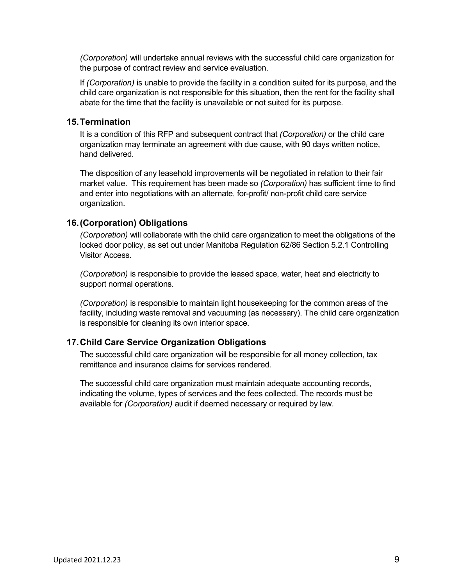*(Corporation)* will undertake annual reviews with the successful child care organization for the purpose of contract review and service evaluation.

If *(Corporation)* is unable to provide the facility in a condition suited for its purpose, and the child care organization is not responsible for this situation, then the rent for the facility shall abate for the time that the facility is unavailable or not suited for its purpose.

#### <span id="page-14-0"></span>**15.Termination**

It is a condition of this RFP and subsequent contract that *(Corporation)* or the child care organization may terminate an agreement with due cause, with 90 days written notice, hand delivered.

The disposition of any leasehold improvements will be negotiated in relation to their fair market value. This requirement has been made so *(Corporation)* has sufficient time to find and enter into negotiations with an alternate, for-profit/ non-profit child care service organization.

### <span id="page-14-1"></span>**16.(Corporation) Obligations**

*(Corporation)* will collaborate with the child care organization to meet the obligations of the locked door policy, as set out under Manitoba Regulation 62/86 Section 5.2.1 Controlling Visitor Access.

*(Corporation)* is responsible to provide the leased space, water, heat and electricity to support normal operations.

*(Corporation)* is responsible to maintain light housekeeping for the common areas of the facility, including waste removal and vacuuming (as necessary). The child care organization is responsible for cleaning its own interior space.

### <span id="page-14-2"></span>**17.Child Care Service Organization Obligations**

The successful child care organization will be responsible for all money collection, tax remittance and insurance claims for services rendered.

The successful child care organization must maintain adequate accounting records, indicating the volume, types of services and the fees collected. The records must be available for *(Corporation)* audit if deemed necessary or required by law.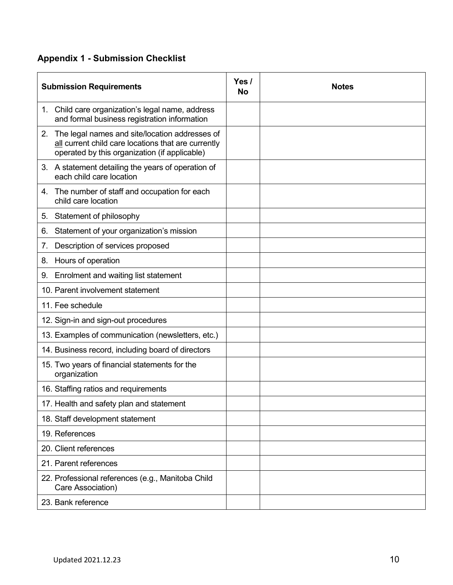## <span id="page-15-0"></span>**Appendix 1 - Submission Checklist**

| <b>Submission Requirements</b>                                                                                                                            |  | <b>Notes</b> |
|-----------------------------------------------------------------------------------------------------------------------------------------------------------|--|--------------|
| 1. Child care organization's legal name, address<br>and formal business registration information                                                          |  |              |
| 2. The legal names and site/location addresses of<br>all current child care locations that are currently<br>operated by this organization (if applicable) |  |              |
| 3. A statement detailing the years of operation of<br>each child care location                                                                            |  |              |
| 4. The number of staff and occupation for each<br>child care location                                                                                     |  |              |
| 5. Statement of philosophy                                                                                                                                |  |              |
| Statement of your organization's mission<br>6.                                                                                                            |  |              |
| Description of services proposed<br>7.                                                                                                                    |  |              |
| Hours of operation<br>8.                                                                                                                                  |  |              |
| Enrolment and waiting list statement<br>9.                                                                                                                |  |              |
| 10. Parent involvement statement                                                                                                                          |  |              |
| 11. Fee schedule                                                                                                                                          |  |              |
| 12. Sign-in and sign-out procedures                                                                                                                       |  |              |
| 13. Examples of communication (newsletters, etc.)                                                                                                         |  |              |
| 14. Business record, including board of directors                                                                                                         |  |              |
| 15. Two years of financial statements for the<br>organization                                                                                             |  |              |
| 16. Staffing ratios and requirements                                                                                                                      |  |              |
| 17. Health and safety plan and statement                                                                                                                  |  |              |
| 18. Staff development statement                                                                                                                           |  |              |
| 19. References                                                                                                                                            |  |              |
| 20. Client references                                                                                                                                     |  |              |
| 21. Parent references                                                                                                                                     |  |              |
| 22. Professional references (e.g., Manitoba Child<br>Care Association)                                                                                    |  |              |
| 23. Bank reference                                                                                                                                        |  |              |